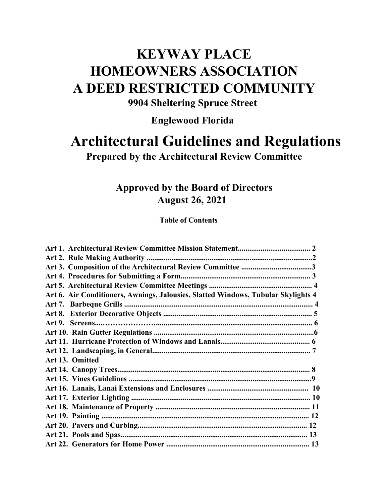## **KEYWAY PLACE HOMEOWNERS ASSOCIATION A DEED RESTRICTED COMMUNITY**

**9904 Sheltering Spruce Street**

**Englewood Florida**

# **Architectural Guidelines and Regulations**

**Prepared by the Architectural Review Committee**

### **Approved by the Board of Directors August 26, 2021**

**Table of Contents** 

| Art 6. Air Conditioners, Awnings, Jalousies, Slatted Windows, Tubular Skylights 4 |  |
|-----------------------------------------------------------------------------------|--|
|                                                                                   |  |
|                                                                                   |  |
|                                                                                   |  |
|                                                                                   |  |
|                                                                                   |  |
|                                                                                   |  |
| Art 13. Omitted                                                                   |  |
|                                                                                   |  |
|                                                                                   |  |
|                                                                                   |  |
|                                                                                   |  |
|                                                                                   |  |
|                                                                                   |  |
|                                                                                   |  |
|                                                                                   |  |
|                                                                                   |  |
|                                                                                   |  |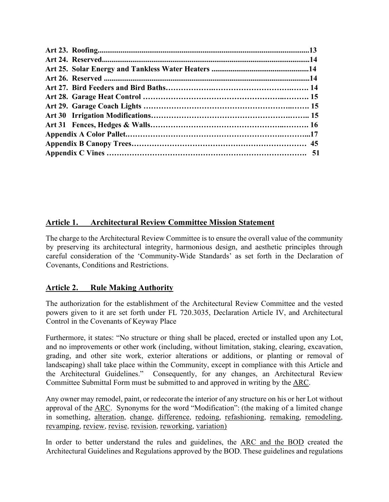#### **Article 1. Architectural Review Committee Mission Statement**

The charge to the Architectural Review Committee is to ensure the overall value of the community by preserving its architectural integrity, harmonious design, and aesthetic principles through careful consideration of the 'Community-Wide Standards' as set forth in the Declaration of Covenants, Conditions and Restrictions.

#### **Article 2. Rule Making Authority**

The authorization for the establishment of the Architectural Review Committee and the vested powers given to it are set forth under FL 720.3035, Declaration Article IV, and Architectural Control in the Covenants of Keyway Place

Furthermore, it states: "No structure or thing shall be placed, erected or installed upon any Lot, and no improvements or other work (including, without limitation, staking, clearing, excavation, grading, and other site work, exterior alterations or additions, or planting or removal of landscaping) shall take place within the Community, except in compliance with this Article and the Architectural Guidelines." Consequently, for any changes, an Architectural Review Committee Submittal Form must be submitted to and approved in writing by the ARC.

Any owner may remodel, paint, or redecorate the interior of any structure on his or her Lot without approval of the ARC. Synonyms for the word "Modification": (the making of a limited change in something, [alteration,](about:blank) [change,](about:blank) [difference,](about:blank) [redoing,](about:blank) [refashioning,](about:blank) [remaking,](about:blank) [remodeling,](about:blank) [revamping,](about:blank) [review,](about:blank) [revise,](about:blank) [revision,](about:blank) [reworking,](about:blank) [variation\)](about:blank)

In order to better understand the rules and guidelines, the ARC and the BOD created the Architectural Guidelines and Regulations approved by the BOD. These guidelines and regulations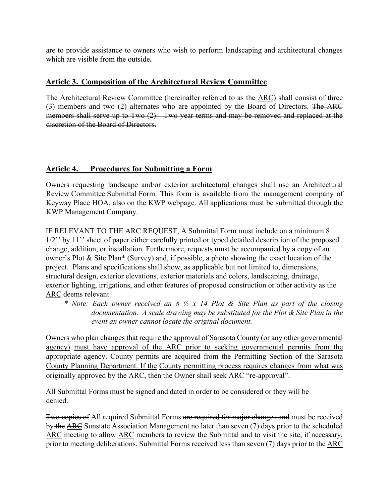are to provide assistance to owners who wish to perform landscaping and architectural changes which are visible from the outside**.** 

#### **Article 3. Composition of the Architectural Review Committee**

The Architectural Review Committee (hereinafter referred to as the ARC) shall consist of three (3) members and two (2) alternates who are appointed by the Board of Directors. The ARC members shall serve up to Two (2) - Two-year terms and may be removed and replaced at the discretion of the Board of Directors.

#### **Article 4. Procedures for Submitting a Form**

Owners requesting landscape and/or exterior architectural changes shall use an Architectural Review Committee Submittal Form. This form is available from the management company of Keyway Place HOA, also on the KWP webpage. All applications must be submitted through the KWP Management Company.

IF RELEVANT TO THE ARC REQUEST, A Submittal Form must include on a minimum 8 1/2" by 11" sheet of paper either carefully printed or typed detailed description of the proposed change, addition, or installation. Furthermore, requests must be accompanied by a copy of an owner's Plot & Site Plan\* (Survey) and, if possible, a photo showing the exact location of the project. Plans and specifications shall show, as applicable but not limited to, dimensions, structural design, exterior elevations, exterior materials and colors, landscaping, drainage, exterior lighting, irrigations, and other features of proposed construction or other activity as the ARC deems relevant.

*\* Note: Each owner received an 8 ½ x 14 Plot & Site Plan as part of the closing documentation. A scale drawing may be substituted for the Plot & Site Plan in the event an owner cannot locate the original document.* 

Owners who plan changes that require the approval of Sarasota County (or any other governmental agency) must have approval of the ARC prior to seeking governmental permits from the appropriate agency. County permits are acquired from the Permitting Section of the Sarasota County Planning Department. If the County permitting process requires changes from what was originally approved by the ARC, then the Owner shall seek ARC "re-approval".

All Submittal Forms must be signed and dated in order to be considered or they will be denied.

Two copies of All required Submittal Forms are required for major changes and must be received by the ARC Sunstate Association Management no later than seven (7) days prior to the scheduled ARC meeting to allow ARC members to review the Submittal and to visit the site, if necessary, prior to meeting deliberations. Submittal Forms received less than seven (7) days prior to the ARC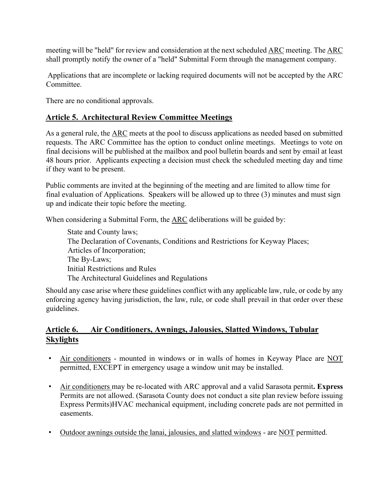meeting will be "held" for review and consideration at the next scheduled ARC meeting. The ARC shall promptly notify the owner of a "held" Submittal Form through the management company.

Applications that are incomplete or lacking required documents will not be accepted by the ARC Committee.

There are no conditional approvals.

#### **Article 5. Architectural Review Committee Meetings**

As a general rule, the ARC meets at the pool to discuss applications as needed based on submitted requests. The ARC Committee has the option to conduct online meetings. Meetings to vote on final decisions will be published at the mailbox and pool bulletin boards and sent by email at least 48 hours prior. Applicants expecting a decision must check the scheduled meeting day and time if they want to be present.

Public comments are invited at the beginning of the meeting and are limited to allow time for final evaluation of Applications. Speakers will be allowed up to three (3) minutes and must sign up and indicate their topic before the meeting.

When considering a Submittal Form, the ARC deliberations will be guided by:

State and County laws; The Declaration of Covenants, Conditions and Restrictions for Keyway Places; Articles of Incorporation; The By-Laws; Initial Restrictions and Rules The Architectural Guidelines and Regulations

Should any case arise where these guidelines conflict with any applicable law, rule, or code by any enforcing agency having jurisdiction, the law, rule, or code shall prevail in that order over these guidelines.

#### **Article 6. Air Conditioners, Awnings, Jalousies, Slatted Windows, Tubular Skylights**

- Air conditioners mounted in windows or in walls of homes in Keyway Place are NOT permitted, EXCEPT in emergency usage a window unit may be installed.
- Air conditioners may be re-located with ARC approval and a valid Sarasota permit**. Express** Permits are not allowed. (Sarasota County does not conduct a site plan review before issuing Express Permits)HVAC mechanical equipment, including concrete pads are not permitted in easements.
- Outdoor awnings outside the lanai, jalousies, and slatted windows are NOT permitted.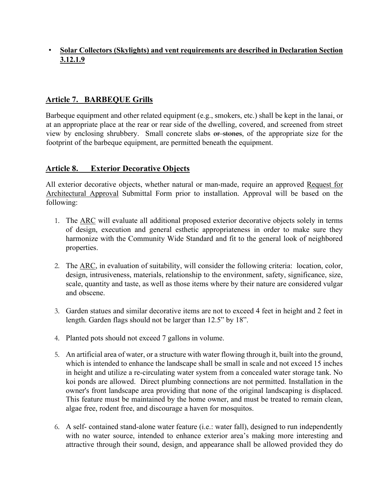#### • **Solar Collectors (Skylights) and vent requirements are described in Declaration Section 3.12.1.9**

#### **Article 7. BARBEQUE Grills**

Barbeque equipment and other related equipment (e.g., smokers, etc.) shall be kept in the lanai, or at an appropriate place at the rear or rear side of the dwelling, covered, and screened from street view by enclosing shrubbery. Small concrete slabs or stones, of the appropriate size for the footprint of the barbeque equipment, are permitted beneath the equipment.

#### **Article 8. Exterior Decorative Objects**

All exterior decorative objects, whether natural or man-made, require an approved Request for Architectural Approval Submittal Form prior to installation. Approval will be based on the following:

- 1. The ARC will evaluate all additional proposed exterior decorative objects solely in terms of design, execution and general esthetic appropriateness in order to make sure they harmonize with the Community Wide Standard and fit to the general look of neighbored properties.
- 2. The ARC, in evaluation of suitability, will consider the following criteria: location, color, design, intrusiveness, materials, relationship to the environment, safety, significance, size, scale, quantity and taste, as well as those items where by their nature are considered vulgar and obscene.
- 3. Garden statues and similar decorative items are not to exceed 4 feet in height and 2 feet in length. Garden flags should not be larger than 12.5" by 18".
- 4. Planted pots should not exceed 7 gallons in volume.
- 5. An artificial area of water, or a structure with water flowing through it, built into the ground, which is intended to enhance the landscape shall be small in scale and not exceed 15 inches in height and utilize a re-circulating water system from a concealed water storage tank. No koi ponds are allowed. Direct plumbing connections are not permitted. Installation in the owner's front landscape area providing that none of the original landscaping is displaced. This feature must be maintained by the home owner, and must be treated to remain clean, algae free, rodent free, and discourage a haven for mosquitos.
- 6. A self- contained stand-alone water feature (i.e.: water fall), designed to run independently with no water source, intended to enhance exterior area's making more interesting and attractive through their sound, design, and appearance shall be allowed provided they do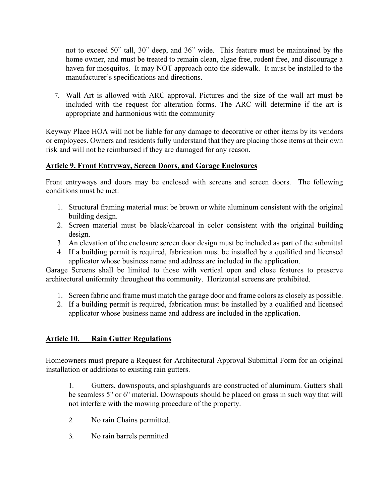not to exceed 50" tall, 30" deep, and 36" wide. This feature must be maintained by the home owner, and must be treated to remain clean, algae free, rodent free, and discourage a haven for mosquitos. It may NOT approach onto the sidewalk. It must be installed to the manufacturer's specifications and directions.

7. Wall Art is allowed with ARC approval. Pictures and the size of the wall art must be included with the request for alteration forms. The ARC will determine if the art is appropriate and harmonious with the community

Keyway Place HOA will not be liable for any damage to decorative or other items by its vendors or employees. Owners and residents fully understand that they are placing those items at their own risk and will not be reimbursed if they are damaged for any reason.

#### **Article 9. Front Entryway, Screen Doors, and Garage Enclosures**

Front entryways and doors may be enclosed with screens and screen doors. The following conditions must be met:

- 1. Structural framing material must be brown or white aluminum consistent with the original building design.
- 2. Screen material must be black/charcoal in color consistent with the original building design.
- 3. An elevation of the enclosure screen door design must be included as part of the submittal
- 4. If a building permit is required, fabrication must be installed by a qualified and licensed applicator whose business name and address are included in the application.

Garage Screens shall be limited to those with vertical open and close features to preserve architectural uniformity throughout the community. Horizontal screens are prohibited.

- 1. Screen fabric and frame must match the garage door and frame colors as closely as possible.
- 2. If a building permit is required, fabrication must be installed by a qualified and licensed applicator whose business name and address are included in the application.

#### **Article 10. Rain Gutter Regulations**

Homeowners must prepare a Request for Architectural Approval Submittal Form for an original installation or additions to existing rain gutters.

1. Gutters, downspouts, and splashguards are constructed of aluminum. Gutters shall be seamless 5" or 6" material. Downspouts should be placed on grass in such way that will not interfere with the mowing procedure of the property.

- 2. No rain Chains permitted.
- 3. No rain barrels permitted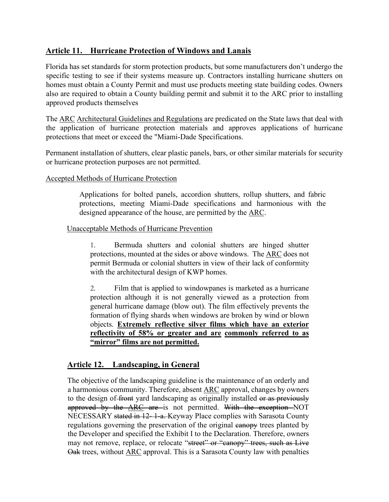#### **Article 11. Hurricane Protection of Windows and Lanais**

Florida has set standards for storm protection products, but some manufacturers don't undergo the specific testing to see if their systems measure up. Contractors installing hurricane shutters on homes must obtain a County Permit and must use products meeting state building codes. Owners also are required to obtain a County building permit and submit it to the ARC prior to installing approved products themselves

The ARC Architectural Guidelines and Regulations are predicated on the State laws that deal with the application of hurricane protection materials and approves applications of hurricane protections that meet or exceed the "Miami-Dade Specifications.

Permanent installation of shutters, clear plastic panels, bars, or other similar materials for security or hurricane protection purposes are not permitted.

#### Accepted Methods of Hurricane Protection

Applications for bolted panels, accordion shutters, rollup shutters, and fabric protections, meeting Miami-Dade specifications and harmonious with the designed appearance of the house, are permitted by the ARC.

#### Unacceptable Methods of Hurricane Prevention

1. Bermuda shutters and colonial shutters are hinged shutter protections, mounted at the sides or above windows. The ARC does not permit Bermuda or colonial shutters in view of their lack of conformity with the architectural design of KWP homes.

2. Film that is applied to windowpanes is marketed as a hurricane protection although it is not generally viewed as a protection from general hurricane damage (blow out). The film effectively prevents the formation of flying shards when windows are broken by wind or blown objects. **Extremely reflective silver films which have an exterior reflectivity of 58% or greater and are commonly referred to as "mirror" films are not permitted.**

#### **Article 12. Landscaping, in General**

The objective of the landscaping guideline is the maintenance of an orderly and a harmonious community. Therefore, absent ARC approval, changes by owners to the design of front yard landscaping as originally installed or as previously approved by the **ARC** are is not permitted. With the exception NOT NECESSARY stated in 12- 1-a. Keyway Place complies with Sarasota County regulations governing the preservation of the original eanopy trees planted by the Developer and specified the Exhibit I to the Declaration. Therefore, owners may not remove, replace, or relocate "street" or "canopy" trees, such as Live Oak trees, without ARC approval. This is a Sarasota County law with penalties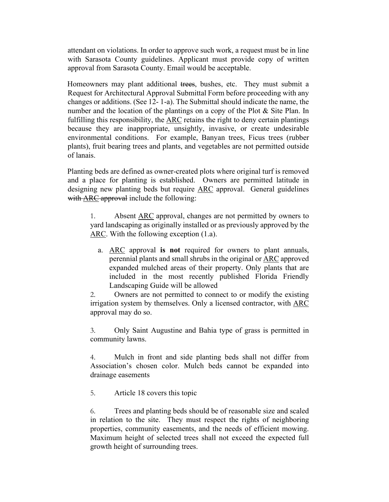attendant on violations. In order to approve such work, a request must be in line with Sarasota County guidelines. Applicant must provide copy of written approval from Sarasota County. Email would be acceptable.

Homeowners may plant additional trees, bushes, etc. They must submit a Request for Architectural Approval Submittal Form before proceeding with any changes or additions. (See 12- 1-a). The Submittal should indicate the name, the number and the location of the plantings on a copy of the Plot & Site Plan. In fulfilling this responsibility, the ARC retains the right to deny certain plantings because they are inappropriate, unsightly, invasive, or create undesirable environmental conditions. For example, Banyan trees, Ficus trees (rubber plants), fruit bearing trees and plants, and vegetables are not permitted outside of lanais.

Planting beds are defined as owner-created plots where original turf is removed and a place for planting is established. Owners are permitted latitude in designing new planting beds but require ARC approval. General guidelines with  $\overline{\text{ARC}}$  approval include the following:

1. Absent ARC approval, changes are not permitted by owners to yard landscaping as originally installed or as previously approved by the ARC. With the following exception (1.a).

a. ARC approval **is not** required for owners to plant annuals, perennial plants and small shrubs in the original or ARC approved expanded mulched areas of their property. Only plants that are included in the most recently published Florida Friendly Landscaping Guide will be allowed

2. Owners are not permitted to connect to or modify the existing irrigation system by themselves. Only a licensed contractor, with ARC approval may do so.

3. Only Saint Augustine and Bahia type of grass is permitted in community lawns.

4. Mulch in front and side planting beds shall not differ from Association's chosen color. Mulch beds cannot be expanded into drainage easements

5. Article 18 covers this topic

6. Trees and planting beds should be of reasonable size and scaled in relation to the site. They must respect the rights of neighboring properties, community easements, and the needs of efficient mowing. Maximum height of selected trees shall not exceed the expected full growth height of surrounding trees.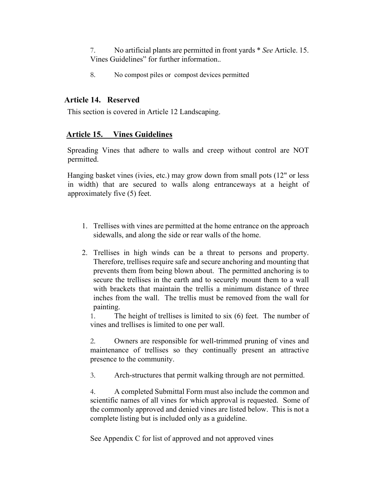7. No artificial plants are permitted in front yards \* *See* Article. 15. Vines Guidelines" for further information.*.*

8. No compost piles or compost devices permitted

#### **Article 14. Reserved**

This section is covered in Article 12 Landscaping.

#### **Article 15. Vines Guidelines**

Spreading Vines that adhere to walls and creep without control are NOT permitted.

Hanging basket vines (ivies, etc.) may grow down from small pots (12" or less in width) that are secured to walls along entranceways at a height of approximately five (5) feet.

- 1. Trellises with vines are permitted at the home entrance on the approach sidewalls, and along the side or rear walls of the home.
- 2. Trellises in high winds can be a threat to persons and property. Therefore, trellises require safe and secure anchoring and mounting that prevents them from being blown about. The permitted anchoring is to secure the trellises in the earth and to securely mount them to a wall with brackets that maintain the trellis a minimum distance of three inches from the wall. The trellis must be removed from the wall for painting.

1. The height of trellises is limited to six (6) feet. The number of vines and trellises is limited to one per wall.

2. Owners are responsible for well-trimmed pruning of vines and maintenance of trellises so they continually present an attractive presence to the community.

3. Arch-structures that permit walking through are not permitted.

4. A completed Submittal Form must also include the common and scientific names of all vines for which approval is requested. Some of the commonly approved and denied vines are listed below. This is not a complete listing but is included only as a guideline.

See Appendix C for list of approved and not approved vines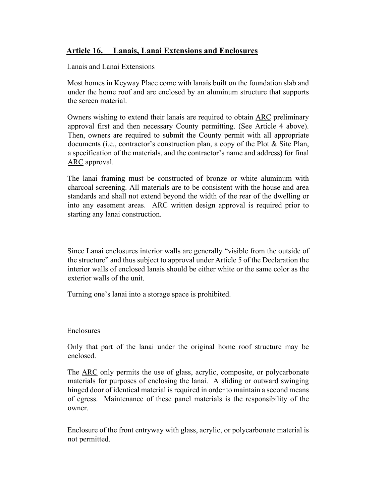#### **Article 16. Lanais, Lanai Extensions and Enclosures**

#### Lanais and Lanai Extensions

Most homes in Keyway Place come with lanais built on the foundation slab and under the home roof and are enclosed by an aluminum structure that supports the screen material.

Owners wishing to extend their lanais are required to obtain ARC preliminary approval first and then necessary County permitting. (See Article 4 above). Then, owners are required to submit the County permit with all appropriate documents (i.e., contractor's construction plan, a copy of the Plot & Site Plan, a specification of the materials, and the contractor's name and address) for final ARC approval.

The lanai framing must be constructed of bronze or white aluminum with charcoal screening. All materials are to be consistent with the house and area standards and shall not extend beyond the width of the rear of the dwelling or into any easement areas. ARC written design approval is required prior to starting any lanai construction.

Since Lanai enclosures interior walls are generally "visible from the outside of the structure" and thus subject to approval under Article 5 of the Declaration the interior walls of enclosed lanais should be either white or the same color as the exterior walls of the unit.

Turning one's lanai into a storage space is prohibited.

#### Enclosures

Only that part of the lanai under the original home roof structure may be enclosed.

The ARC only permits the use of glass, acrylic, composite, or polycarbonate materials for purposes of enclosing the lanai. A sliding or outward swinging hinged door of identical material is required in order to maintain a second means of egress. Maintenance of these panel materials is the responsibility of the owner.

Enclosure of the front entryway with glass, acrylic, or polycarbonate material is not permitted.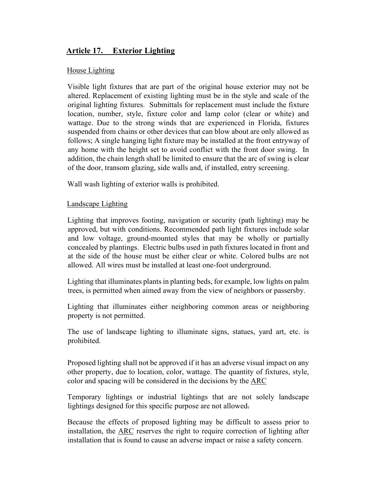#### **Article 17. Exterior Lighting**

#### House Lighting

Visible light fixtures that are part of the original house exterior may not be altered. Replacement of existing lighting must be in the style and scale of the original lighting fixtures. Submittals for replacement must include the fixture location, number, style, fixture color and lamp color (clear or white) and wattage. Due to the strong winds that are experienced in Florida, fixtures suspended from chains or other devices that can blow about are only allowed as follows; A single hanging light fixture may be installed at the front entryway of any home with the height set to avoid conflict with the front door swing. In addition, the chain length shall be limited to ensure that the arc of swing is clear of the door, transom glazing, side walls and, if installed, entry screening.

Wall wash lighting of exterior walls is prohibited.

#### Landscape Lighting

Lighting that improves footing, navigation or security (path lighting) may be approved, but with conditions. Recommended path light fixtures include solar and low voltage, ground-mounted styles that may be wholly or partially concealed by plantings. Electric bulbs used in path fixtures located in front and at the side of the house must be either clear or white. Colored bulbs are not allowed. All wires must be installed at least one-foot underground.

Lighting that illuminates plants in planting beds, for example, low lights on palm trees, is permitted when aimed away from the view of neighbors or passersby.

Lighting that illuminates either neighboring common areas or neighboring property is not permitted.

The use of landscape lighting to illuminate signs, statues, yard art, etc. is prohibited.

Proposed lighting shall not be approved if it has an adverse visual impact on any other property, due to location, color, wattage. The quantity of fixtures, style, color and spacing will be considered in the decisions by the ARC

Temporary lightings or industrial lightings that are not solely landscape lightings designed for this specific purpose are not allowed.

Because the effects of proposed lighting may be difficult to assess prior to installation, the ARC reserves the right to require correction of lighting after installation that is found to cause an adverse impact or raise a safety concern.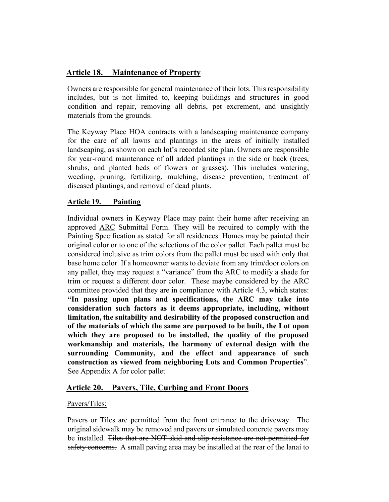#### **Article 18. Maintenance of Property**

Owners are responsible for general maintenance of their lots. This responsibility includes, but is not limited to, keeping buildings and structures in good condition and repair, removing all debris, pet excrement, and unsightly materials from the grounds.

The Keyway Place HOA contracts with a landscaping maintenance company for the care of all lawns and plantings in the areas of initially installed landscaping, as shown on each lot's recorded site plan. Owners are responsible for year-round maintenance of all added plantings in the side or back (trees, shrubs, and planted beds of flowers or grasses). This includes watering, weeding, pruning, fertilizing, mulching, disease prevention, treatment of diseased plantings, and removal of dead plants.

#### **Article 19. Painting**

Individual owners in Keyway Place may paint their home after receiving an approved ARC Submittal Form. They will be required to comply with the Painting Specification as stated for all residences. Homes may be painted their original color or to one of the selections of the color pallet. Each pallet must be considered inclusive as trim colors from the pallet must be used with only that base home color. If a homeowner wants to deviate from any trim/door colors on any pallet, they may request a "variance" from the ARC to modify a shade for trim or request a different door color. These maybe considered by the ARC committee provided that they are in compliance with Article 4.3, which states: **"In passing upon plans and specifications, the ARC may take into consideration such factors as it deems appropriate, including, without limitation, the suitability and desirability of the proposed construction and of the materials of which the same are purposed to be built, the Lot upon which they are proposed to be installed, the quality of the proposed workmanship and materials, the harmony of external design with the surrounding Community, and the effect and appearance of such construction as viewed from neighboring Lots and Common Properties**". See Appendix A for color pallet

#### **Article 20. Pavers, Tile, Curbing and Front Doors**

#### Pavers/Tiles:

Pavers or Tiles are permitted from the front entrance to the driveway. The original sidewalk may be removed and pavers or simulated concrete pavers may be installed. Tiles that are NOT skid and slip resistance are not permitted for safety concerns. A small paving area may be installed at the rear of the lanai to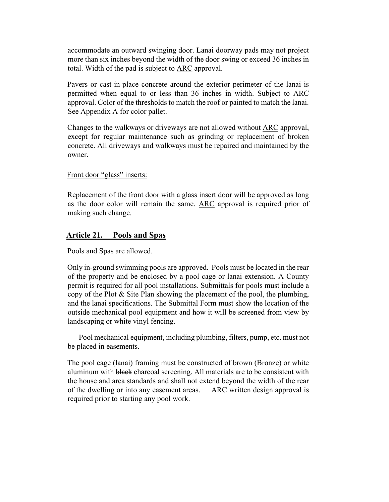accommodate an outward swinging door. Lanai doorway pads may not project more than six inches beyond the width of the door swing or exceed 36 inches in total. Width of the pad is subject to ARC approval.

Pavers or cast-in-place concrete around the exterior perimeter of the lanai is permitted when equal to or less than 36 inches in width. Subject to ARC approval. Color of the thresholds to match the roof or painted to match the lanai. See Appendix A for color pallet.

Changes to the walkways or driveways are not allowed without ARC approval, except for regular maintenance such as grinding or replacement of broken concrete. All driveways and walkways must be repaired and maintained by the owner.

Front door "glass" inserts:

Replacement of the front door with a glass insert door will be approved as long as the door color will remain the same. ARC approval is required prior of making such change.

#### **Article 21. Pools and Spas**

Pools and Spas are allowed.

Only in-ground swimming pools are approved. Pools must be located in the rear of the property and be enclosed by a pool cage or lanai extension. A County permit is required for all pool installations. Submittals for pools must include a copy of the Plot & Site Plan showing the placement of the pool, the plumbing, and the lanai specifications. The Submittal Form must show the location of the outside mechanical pool equipment and how it will be screened from view by landscaping or white vinyl fencing.

 Pool mechanical equipment, including plumbing, filters, pump, etc. must not be placed in easements.

The pool cage (lanai) framing must be constructed of brown (Bronze) or white aluminum with black charcoal screening. All materials are to be consistent with the house and area standards and shall not extend beyond the width of the rear of the dwelling or into any easement areas. ARC written design approval is required prior to starting any pool work.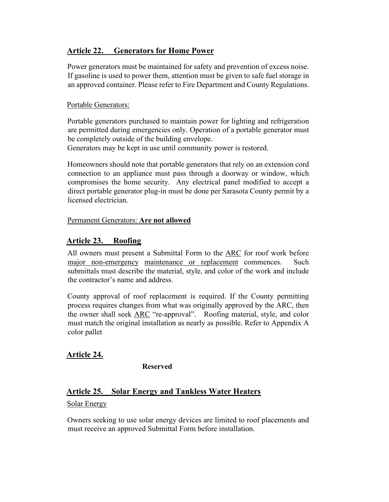#### **Article 22. Generators for Home Power**

Power generators must be maintained for safety and prevention of excess noise. If gasoline is used to power them, attention must be given to safe fuel storage in an approved container. Please refer to Fire Department and County Regulations.

#### Portable Generators:

Portable generators purchased to maintain power for lighting and refrigeration are permitted during emergencies only. Operation of a portable generator must be completely outside of the building envelope.

Generators may be kept in use until community power is restored.

Homeowners should note that portable generators that rely on an extension cord connection to an appliance must pass through a doorway or window, which compromises the home security. Any electrical panel modified to accept a direct portable generator plug-in must be done per Sarasota County permit by a licensed electrician.

#### Permanent Generators: **Are not allowed**

#### **Article 23. Roofing**

All owners must present a Submittal Form to the ARC for roof work before major non-emergency maintenance or replacement commences. Such submittals must describe the material, style, and color of the work and include the contractor's name and address.

County approval of roof replacement is required. If the County permitting process requires changes from what was originally approved by the ARC, then the owner shall seek ARC "re-approval". Roofing material, style, and color must match the original installation as nearly as possible. Refer to Appendix A color pallet

#### **Article 24.**

**Reserved**

#### **Article 25. Solar Energy and Tankless Water Heaters**

#### Solar Energy

Owners seeking to use solar energy devices are limited to roof placements and must receive an approved Submittal Form before installation.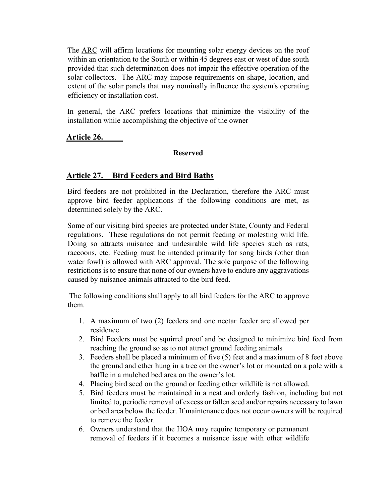The ARC will affirm locations for mounting solar energy devices on the roof within an orientation to the South or within 45 degrees east or west of due south provided that such determination does not impair the effective operation of the solar collectors. The ARC may impose requirements on shape, location, and extent of the solar panels that may nominally influence the system's operating efficiency or installation cost.

In general, the ARC prefers locations that minimize the visibility of the installation while accomplishing the objective of the owner

**Article 26.** 

#### **Reserved**

#### **Article 27. Bird Feeders and Bird Baths**

Bird feeders are not prohibited in the Declaration, therefore the ARC must approve bird feeder applications if the following conditions are met, as determined solely by the ARC.

Some of our visiting bird species are protected under State, County and Federal regulations. These regulations do not permit feeding or molesting wild life. Doing so attracts nuisance and undesirable wild life species such as rats, raccoons, etc. Feeding must be intended primarily for song birds (other than water fowl) is allowed with ARC approval. The sole purpose of the following restrictions is to ensure that none of our owners have to endure any aggravations caused by nuisance animals attracted to the bird feed.

The following conditions shall apply to all bird feeders for the ARC to approve them.

- 1. A maximum of two (2) feeders and one nectar feeder are allowed per residence
- 2. Bird Feeders must be squirrel proof and be designed to minimize bird feed from reaching the ground so as to not attract ground feeding animals
- 3. Feeders shall be placed a minimum of five (5) feet and a maximum of 8 feet above the ground and ether hung in a tree on the owner's lot or mounted on a pole with a baffle in a mulched bed area on the owner's lot.
- 4. Placing bird seed on the ground or feeding other wildlife is not allowed.
- 5. Bird feeders must be maintained in a neat and orderly fashion, including but not limited to, periodic removal of excess or fallen seed and/or repairs necessary to lawn or bed area below the feeder. If maintenance does not occur owners will be required to remove the feeder.
- 6. Owners understand that the HOA may require temporary or permanent removal of feeders if it becomes a nuisance issue with other wildlife